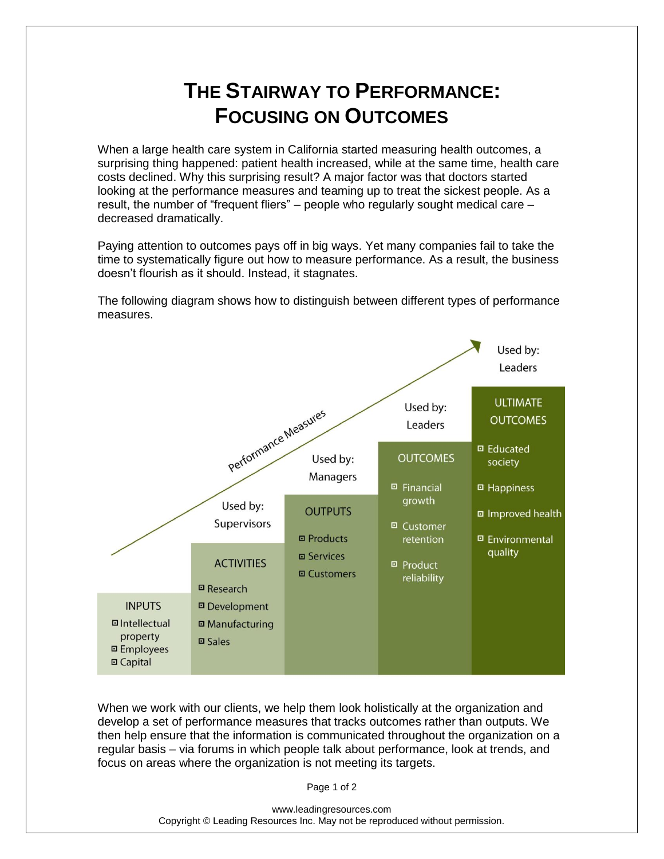## **THE STAIRWAY TO PERFORMANCE: FOCUSING ON OUTCOMES**

When a large health care system in California started measuring health outcomes, a surprising thing happened: patient health increased, while at the same time, health care costs declined. Why this surprising result? A major factor was that doctors started looking at the performance measures and teaming up to treat the sickest people. As a result, the number of "frequent fliers" – people who regularly sought medical care – decreased dramatically.

Paying attention to outcomes pays off in big ways. Yet many companies fail to take the time to systematically figure out how to measure performance. As a result, the business doesn't flourish as it should. Instead, it stagnates.

The following diagram shows how to distinguish between different types of performance measures.



When we work with our clients, we help them look holistically at the organization and develop a set of performance measures that tracks outcomes rather than outputs. We then help ensure that the information is communicated throughout the organization on a regular basis – via forums in which people talk about performance, look at trends, and focus on areas where the organization is not meeting its targets.

Page 1 of 2

www.leadingresources.com Copyright © Leading Resources Inc. May not be reproduced without permission.